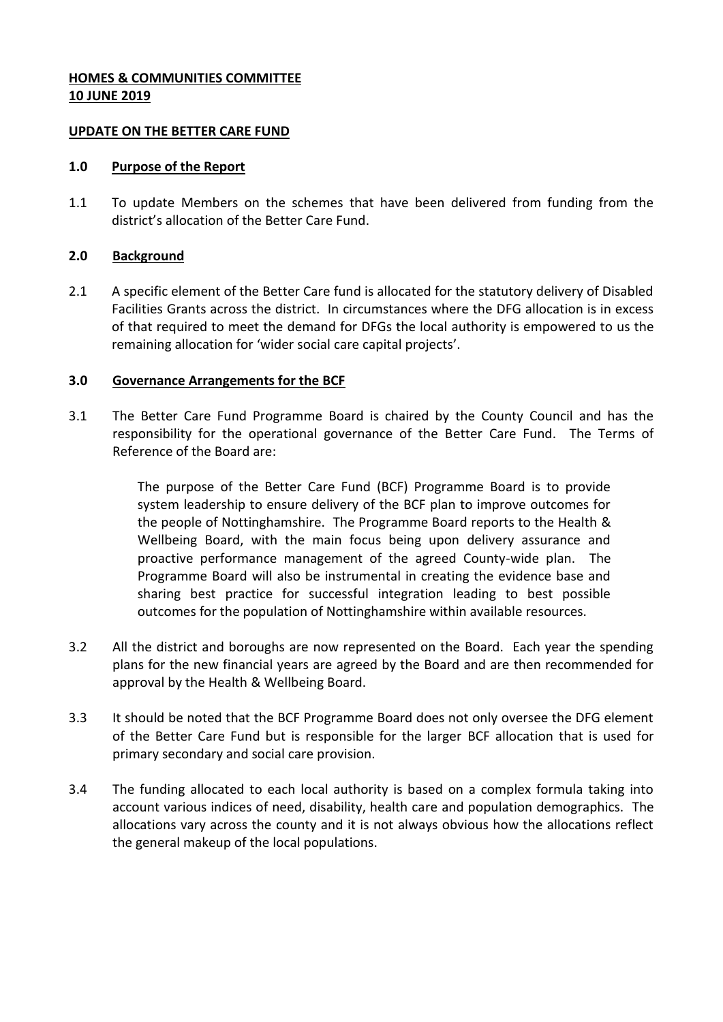## **HOMES & COMMUNITIES COMMITTEE 10 JUNE 2019**

#### **UPDATE ON THE BETTER CARE FUND**

#### **1.0 Purpose of the Report**

1.1 To update Members on the schemes that have been delivered from funding from the district's allocation of the Better Care Fund.

## **2.0 Background**

2.1 A specific element of the Better Care fund is allocated for the statutory delivery of Disabled Facilities Grants across the district. In circumstances where the DFG allocation is in excess of that required to meet the demand for DFGs the local authority is empowered to us the remaining allocation for 'wider social care capital projects'.

## **3.0 Governance Arrangements for the BCF**

3.1 The Better Care Fund Programme Board is chaired by the County Council and has the responsibility for the operational governance of the Better Care Fund. The Terms of Reference of the Board are:

> The purpose of the Better Care Fund (BCF) Programme Board is to provide system leadership to ensure delivery of the BCF plan to improve outcomes for the people of Nottinghamshire. The Programme Board reports to the Health & Wellbeing Board, with the main focus being upon delivery assurance and proactive performance management of the agreed County-wide plan. The Programme Board will also be instrumental in creating the evidence base and sharing best practice for successful integration leading to best possible outcomes for the population of Nottinghamshire within available resources.

- 3.2 All the district and boroughs are now represented on the Board. Each year the spending plans for the new financial years are agreed by the Board and are then recommended for approval by the Health & Wellbeing Board.
- 3.3 It should be noted that the BCF Programme Board does not only oversee the DFG element of the Better Care Fund but is responsible for the larger BCF allocation that is used for primary secondary and social care provision.
- 3.4 The funding allocated to each local authority is based on a complex formula taking into account various indices of need, disability, health care and population demographics. The allocations vary across the county and it is not always obvious how the allocations reflect the general makeup of the local populations.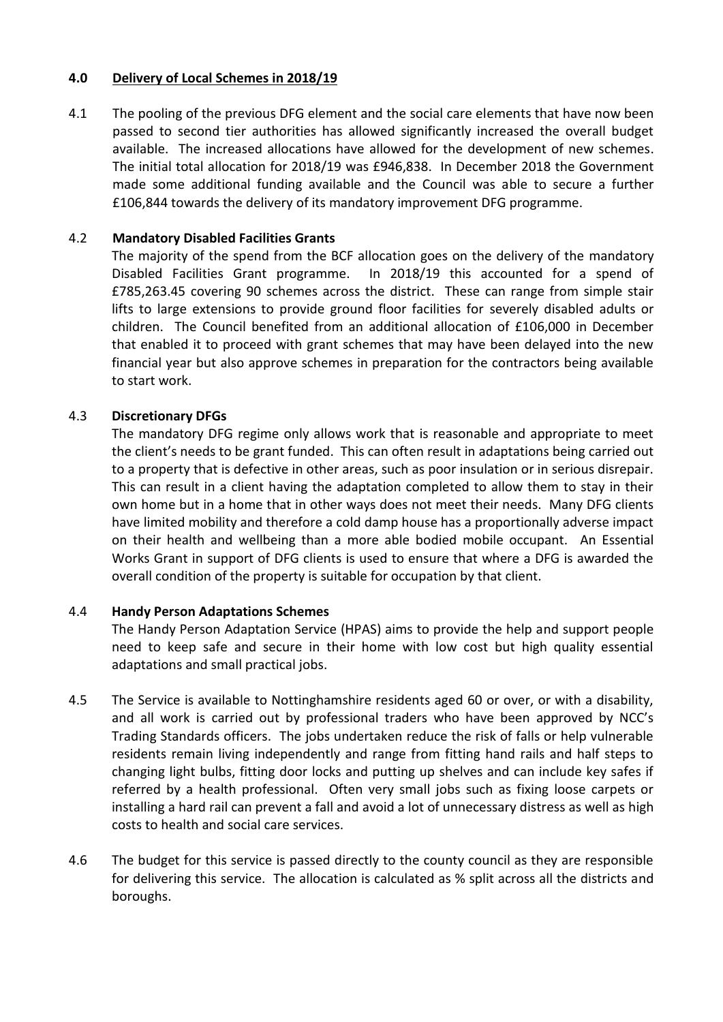#### **4.0 Delivery of Local Schemes in 2018/19**

4.1 The pooling of the previous DFG element and the social care elements that have now been passed to second tier authorities has allowed significantly increased the overall budget available. The increased allocations have allowed for the development of new schemes. The initial total allocation for 2018/19 was £946,838. In December 2018 the Government made some additional funding available and the Council was able to secure a further £106,844 towards the delivery of its mandatory improvement DFG programme.

## 4.2 **Mandatory Disabled Facilities Grants**

The majority of the spend from the BCF allocation goes on the delivery of the mandatory Disabled Facilities Grant programme. In 2018/19 this accounted for a spend of £785,263.45 covering 90 schemes across the district. These can range from simple stair lifts to large extensions to provide ground floor facilities for severely disabled adults or children. The Council benefited from an additional allocation of £106,000 in December that enabled it to proceed with grant schemes that may have been delayed into the new financial year but also approve schemes in preparation for the contractors being available to start work.

## 4.3 **Discretionary DFGs**

The mandatory DFG regime only allows work that is reasonable and appropriate to meet the client's needs to be grant funded. This can often result in adaptations being carried out to a property that is defective in other areas, such as poor insulation or in serious disrepair. This can result in a client having the adaptation completed to allow them to stay in their own home but in a home that in other ways does not meet their needs. Many DFG clients have limited mobility and therefore a cold damp house has a proportionally adverse impact on their health and wellbeing than a more able bodied mobile occupant. An Essential Works Grant in support of DFG clients is used to ensure that where a DFG is awarded the overall condition of the property is suitable for occupation by that client.

#### 4.4 **Handy Person Adaptations Schemes**

The Handy Person Adaptation Service (HPAS) aims to provide the help and support people need to keep safe and secure in their home with low cost but high quality essential adaptations and small practical jobs.

- 4.5 The Service is available to Nottinghamshire residents aged 60 or over, or with a disability, and all work is carried out by professional traders who have been approved by NCC's Trading Standards officers. The jobs undertaken reduce the risk of falls or help vulnerable residents remain living independently and range from fitting hand rails and half steps to changing light bulbs, fitting door locks and putting up shelves and can include key safes if referred by a health professional. Often very small jobs such as fixing loose carpets or installing a hard rail can prevent a fall and avoid a lot of unnecessary distress as well as high costs to health and social care services.
- 4.6 The budget for this service is passed directly to the county council as they are responsible for delivering this service. The allocation is calculated as % split across all the districts and boroughs.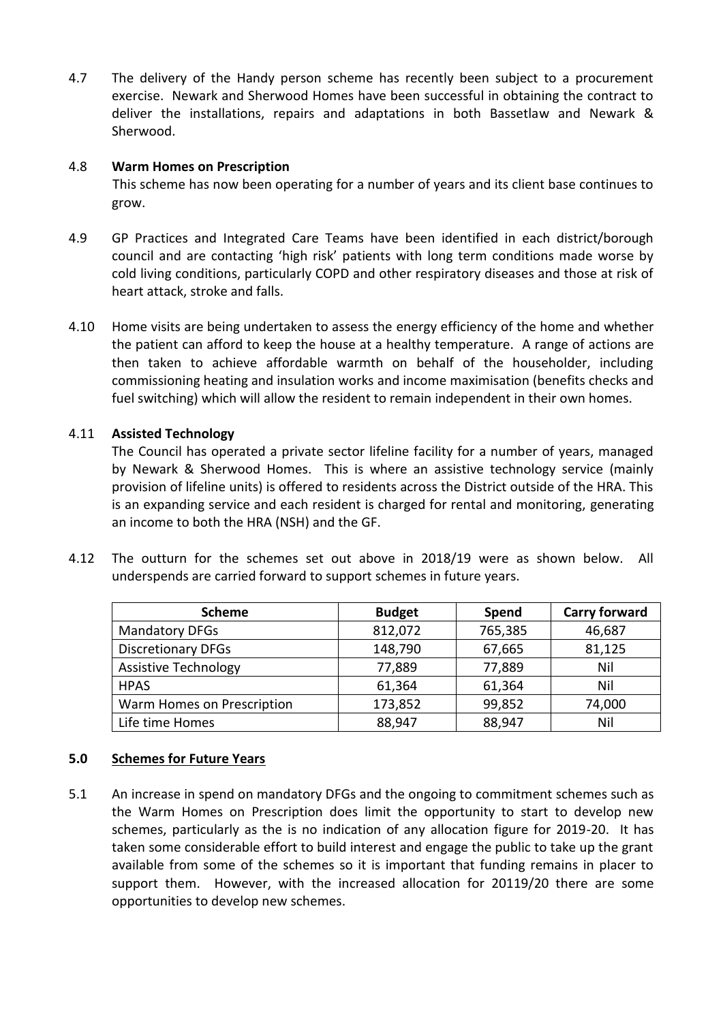4.7 The delivery of the Handy person scheme has recently been subject to a procurement exercise. Newark and Sherwood Homes have been successful in obtaining the contract to deliver the installations, repairs and adaptations in both Bassetlaw and Newark & Sherwood.

#### 4.8 **Warm Homes on Prescription**

This scheme has now been operating for a number of years and its client base continues to grow.

- 4.9 GP Practices and Integrated Care Teams have been identified in each district/borough council and are contacting 'high risk' patients with long term conditions made worse by cold living conditions, particularly COPD and other respiratory diseases and those at risk of heart attack, stroke and falls.
- 4.10 Home visits are being undertaken to assess the energy efficiency of the home and whether the patient can afford to keep the house at a healthy temperature. A range of actions are then taken to achieve affordable warmth on behalf of the householder, including commissioning heating and insulation works and income maximisation (benefits checks and fuel switching) which will allow the resident to remain independent in their own homes.

#### 4.11 **Assisted Technology**

The Council has operated a private sector lifeline facility for a number of years, managed by Newark & Sherwood Homes. This is where an assistive technology service (mainly provision of lifeline units) is offered to residents across the District outside of the HRA. This is an expanding service and each resident is charged for rental and monitoring, generating an income to both the HRA (NSH) and the GF.

4.12 The outturn for the schemes set out above in 2018/19 were as shown below. All underspends are carried forward to support schemes in future years.

| <b>Scheme</b>               | <b>Budget</b> | Spend   | <b>Carry forward</b> |
|-----------------------------|---------------|---------|----------------------|
| <b>Mandatory DFGs</b>       | 812,072       | 765,385 | 46,687               |
| <b>Discretionary DFGs</b>   | 148,790       | 67,665  | 81,125               |
| <b>Assistive Technology</b> | 77,889        | 77,889  | Nil                  |
| <b>HPAS</b>                 | 61,364        | 61,364  | Nil                  |
| Warm Homes on Prescription  | 173,852       | 99,852  | 74,000               |
| Life time Homes             | 88,947        | 88,947  | Nil                  |

#### **5.0 Schemes for Future Years**

5.1 An increase in spend on mandatory DFGs and the ongoing to commitment schemes such as the Warm Homes on Prescription does limit the opportunity to start to develop new schemes, particularly as the is no indication of any allocation figure for 2019-20. It has taken some considerable effort to build interest and engage the public to take up the grant available from some of the schemes so it is important that funding remains in placer to support them. However, with the increased allocation for 20119/20 there are some opportunities to develop new schemes.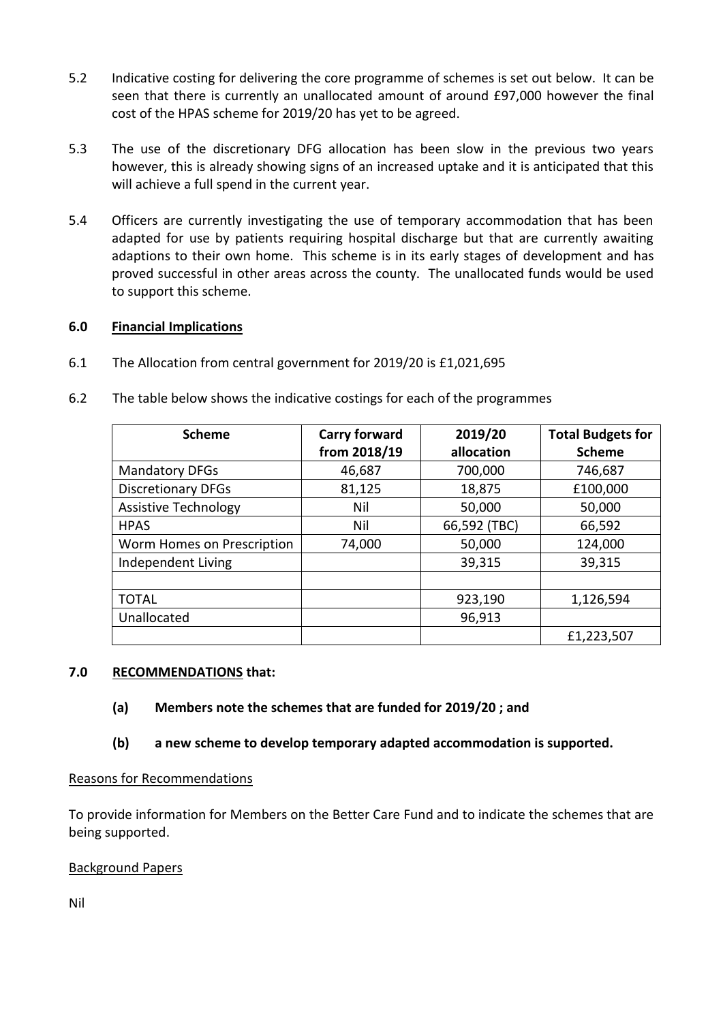- 5.2 Indicative costing for delivering the core programme of schemes is set out below. It can be seen that there is currently an unallocated amount of around £97,000 however the final cost of the HPAS scheme for 2019/20 has yet to be agreed.
- 5.3 The use of the discretionary DFG allocation has been slow in the previous two years however, this is already showing signs of an increased uptake and it is anticipated that this will achieve a full spend in the current year.
- 5.4 Officers are currently investigating the use of temporary accommodation that has been adapted for use by patients requiring hospital discharge but that are currently awaiting adaptions to their own home. This scheme is in its early stages of development and has proved successful in other areas across the county. The unallocated funds would be used to support this scheme.

## **6.0 Financial Implications**

6.1 The Allocation from central government for 2019/20 is £1,021,695

| <b>Scheme</b>               | <b>Carry forward</b> | 2019/20      | <b>Total Budgets for</b> |
|-----------------------------|----------------------|--------------|--------------------------|
|                             | from 2018/19         | allocation   | <b>Scheme</b>            |
| <b>Mandatory DFGs</b>       | 46,687               | 700,000      | 746,687                  |
| <b>Discretionary DFGs</b>   | 81,125               | 18,875       | £100,000                 |
| <b>Assistive Technology</b> | Nil                  | 50,000       | 50,000                   |
| <b>HPAS</b>                 | Nil                  | 66,592 (TBC) | 66,592                   |
| Worm Homes on Prescription  | 74,000               | 50,000       | 124,000                  |
| Independent Living          |                      | 39,315       | 39,315                   |
|                             |                      |              |                          |
| <b>TOTAL</b>                |                      | 923,190      | 1,126,594                |
| Unallocated                 |                      | 96,913       |                          |
|                             |                      |              | £1,223,507               |

6.2 The table below shows the indicative costings for each of the programmes

## **7.0 RECOMMENDATIONS that:**

- **(a) Members note the schemes that are funded for 2019/20 ; and**
- **(b) a new scheme to develop temporary adapted accommodation is supported.**

# Reasons for Recommendations

To provide information for Members on the Better Care Fund and to indicate the schemes that are being supported.

# Background Papers

Nil